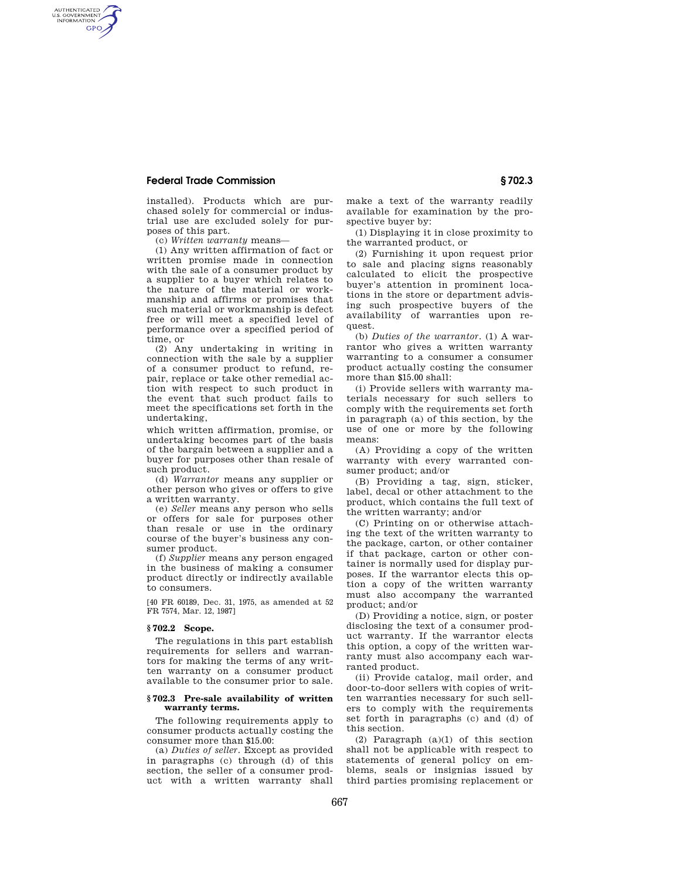## **Federal Trade Commission § 702.3**

AUTHENTICATED<br>U.S. GOVERNMENT<br>INFORMATION **GPO** 

> installed). Products which are purchased solely for commercial or industrial use are excluded solely for purposes of this part.

(c) *Written warranty* means—

(1) Any written affirmation of fact or written promise made in connection with the sale of a consumer product by a supplier to a buyer which relates to the nature of the material or workmanship and affirms or promises that such material or workmanship is defect free or will meet a specified level of performance over a specified period of time, or

(2) Any undertaking in writing in connection with the sale by a supplier of a consumer product to refund, repair, replace or take other remedial action with respect to such product in the event that such product fails to meet the specifications set forth in the undertaking,

which written affirmation, promise, or undertaking becomes part of the basis of the bargain between a supplier and a buyer for purposes other than resale of such product.

(d) *Warrantor* means any supplier or other person who gives or offers to give a written warranty.

(e) *Seller* means any person who sells or offers for sale for purposes other than resale or use in the ordinary course of the buyer's business any consumer product.

(f) *Supplier* means any person engaged in the business of making a consumer product directly or indirectly available to consumers.

[40 FR 60189, Dec. 31, 1975, as amended at 52 FR 7574, Mar. 12, 1987]

#### **§ 702.2 Scope.**

The regulations in this part establish requirements for sellers and warrantors for making the terms of any written warranty on a consumer product available to the consumer prior to sale.

#### **§ 702.3 Pre-sale availability of written warranty terms.**

The following requirements apply to consumer products actually costing the consumer more than \$15.00:

(a) *Duties of seller.* Except as provided in paragraphs (c) through (d) of this section, the seller of a consumer product with a written warranty shall

make a text of the warranty readily available for examination by the prospective buyer by:

(1) Displaying it in close proximity to the warranted product, or

(2) Furnishing it upon request prior to sale and placing signs reasonably calculated to elicit the prospective buyer's attention in prominent locations in the store or department advising such prospective buyers of the availability of warranties upon request.

(b) *Duties of the warrantor.* (1) A warrantor who gives a written warranty warranting to a consumer a consumer product actually costing the consumer more than \$15.00 shall:

(i) Provide sellers with warranty materials necessary for such sellers to comply with the requirements set forth in paragraph (a) of this section, by the use of one or more by the following means:

(A) Providing a copy of the written warranty with every warranted consumer product; and/or

(B) Providing a tag, sign, sticker, label, decal or other attachment to the product, which contains the full text of the written warranty; and/or

(C) Printing on or otherwise attaching the text of the written warranty to the package, carton, or other container if that package, carton or other container is normally used for display purposes. If the warrantor elects this option a copy of the written warranty must also accompany the warranted product; and/or

(D) Providing a notice, sign, or poster disclosing the text of a consumer product warranty. If the warrantor elects this option, a copy of the written warranty must also accompany each warranted product.

(ii) Provide catalog, mail order, and door-to-door sellers with copies of written warranties necessary for such sellers to comply with the requirements set forth in paragraphs (c) and (d) of this section.

(2) Paragraph (a)(1) of this section shall not be applicable with respect to statements of general policy on emblems, seals or insignias issued by third parties promising replacement or